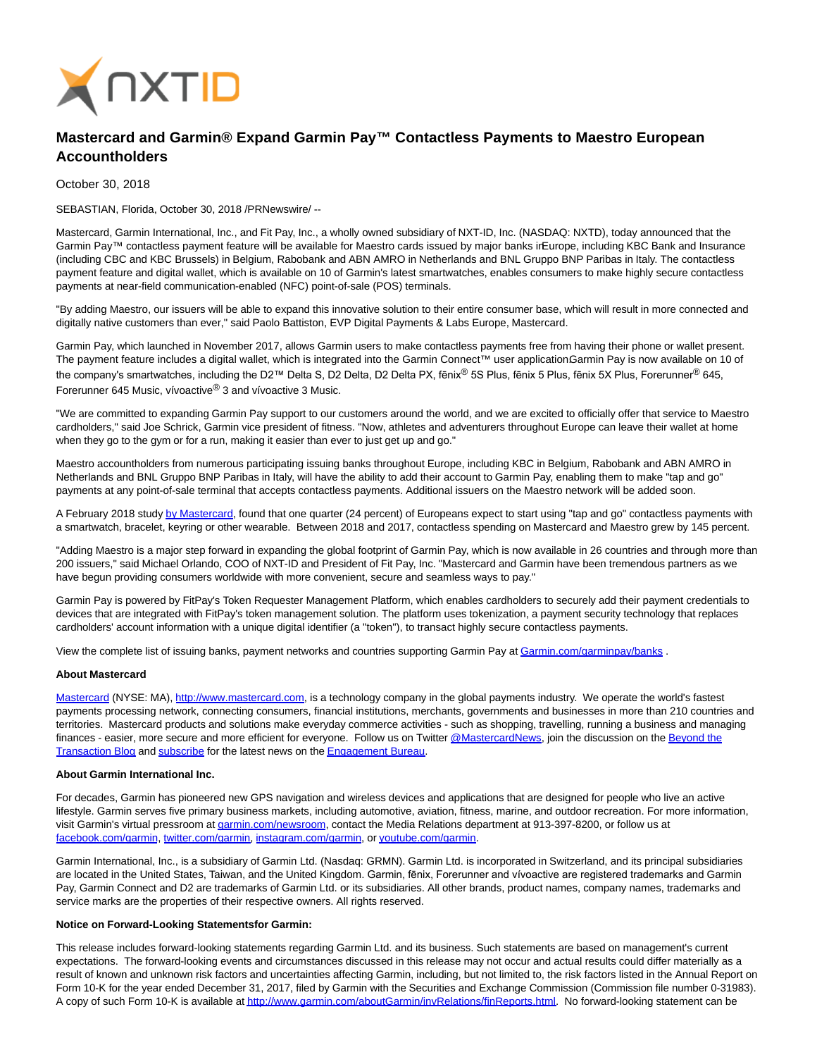

# **Mastercard and Garmin® Expand Garmin Pay™ Contactless Payments to Maestro European Accountholders**

October 30, 2018

SEBASTIAN, Florida, October 30, 2018 /PRNewswire/ --

Mastercard, Garmin International, Inc., and Fit Pay, Inc., a wholly owned subsidiary of NXT-ID, Inc. (NASDAQ: NXTD), today announced that the Garmin Pay™ contactless payment feature will be available for Maestro cards issued by major banks irEurope, including KBC Bank and Insurance (including CBC and KBC Brussels) in Belgium, Rabobank and ABN AMRO in Netherlands and BNL Gruppo BNP Paribas in Italy. The contactless payment feature and digital wallet, which is available on 10 of Garmin's latest smartwatches, enables consumers to make highly secure contactless payments at near-field communication-enabled (NFC) point-of-sale (POS) terminals.

"By adding Maestro, our issuers will be able to expand this innovative solution to their entire consumer base, which will result in more connected and digitally native customers than ever," said Paolo Battiston, EVP Digital Payments & Labs Europe, Mastercard.

Garmin Pay, which launched in November 2017, allows Garmin users to make contactless payments free from having their phone or wallet present. The payment feature includes a digital wallet, which is integrated into the Garmin Connect™ user application. Garmin Pay is now available on 10 of the company's smartwatches, including the D2™ Delta S, D2 Delta, D2 Delta PX, fēnix® 5S Plus, fēnix 5 Plus, fēnix 5X Plus, Forerunner® 645, Forerunner 645 Music, vívoactive® 3 and vívoactive 3 Music.

"We are committed to expanding Garmin Pay support to our customers around the world, and we are excited to officially offer that service to Maestro cardholders," said Joe Schrick, Garmin vice president of fitness. "Now, athletes and adventurers throughout Europe can leave their wallet at home when they go to the gym or for a run, making it easier than ever to just get up and go."

Maestro accountholders from numerous participating issuing banks throughout Europe, including KBC in Belgium, Rabobank and ABN AMRO in Netherlands and BNL Gruppo BNP Paribas in Italy, will have the ability to add their account to Garmin Pay, enabling them to make "tap and go" payments at any point-of-sale terminal that accepts contactless payments. Additional issuers on the Maestro network will be added soon.

A February 2018 stud[y by Mastercard,](https://newsroom.mastercard.com/press-releases/over-175-million-europeans-ready-to-pay-with-wearable-devices/) found that one quarter (24 percent) of Europeans expect to start using "tap and go" contactless payments with a smartwatch, bracelet, keyring or other wearable. Between 2018 and 2017, contactless spending on Mastercard and Maestro grew by 145 percent.

"Adding Maestro is a major step forward in expanding the global footprint of Garmin Pay, which is now available in 26 countries and through more than 200 issuers," said Michael Orlando, COO of NXT-ID and President of Fit Pay, Inc. "Mastercard and Garmin have been tremendous partners as we have begun providing consumers worldwide with more convenient, secure and seamless ways to pay."

Garmin Pay is powered by FitPay's Token Requester Management Platform, which enables cardholders to securely add their payment credentials to devices that are integrated with FitPay's token management solution. The platform uses tokenization, a payment security technology that replaces cardholders' account information with a unique digital identifier (a "token"), to transact highly secure contactless payments.

View the complete list of issuing banks, payment networks and countries supporting Garmin Pay a[t Garmin.com/garminpay/banks .](https://garmin.com/garminpay/banks)

## **About Mastercard**

[Mastercard \(](http://mastercard/)NYSE: MA), [http://www.mastercard.com,](http://www.mastercard.com/) is a technology company in the global payments industry. We operate the world's fastest payments processing network, connecting consumers, financial institutions, merchants, governments and businesses in more than 210 countries and territories. Mastercard products and solutions make everyday commerce activities - such as shopping, travelling, running a business and managing finances - easier, more secure and more efficient for everyone. Follow us on Twitter [@MastercardNews,](https://twitter.com/#%21/MasterCardNews) join the discussion on th[e Beyond the](http://newsroom.mastercard.com/blog/) Transaction Blog and [subscribe f](http://newsroom.mastercard.com/subscribe/)or the latest news on th[e Engagement Bureau.](http://newsroom.mastercard.com/)

#### **About Garmin International Inc.**

For decades, Garmin has pioneered new GPS navigation and wireless devices and applications that are designed for people who live an active lifestyle. Garmin serves five primary business markets, including automotive, aviation, fitness, marine, and outdoor recreation. For more information, visit Garmin's virtual pressroom a[t garmin.com/newsroom,](http://www.garmin.com/newsroom) contact the Media Relations department at 913-397-8200, or follow us at [facebook.com/garmin,](http://www.facebook.com/garmin) [twitter.com/garmin,](http://www.twitter.com/garmin) [instagram.com/garmin,](https://www.instagram.com/garmin/) o[r youtube.com/garmin.](http://www.youtube.com/garmin)

Garmin International, Inc., is a subsidiary of Garmin Ltd. (Nasdaq: GRMN). Garmin Ltd. is incorporated in Switzerland, and its principal subsidiaries are located in the United States, Taiwan, and the United Kingdom. Garmin, fēnix, Forerunner and vívoactive are registered trademarks and Garmin Pay, Garmin Connect and D2 are trademarks of Garmin Ltd. or its subsidiaries. All other brands, product names, company names, trademarks and service marks are the properties of their respective owners. All rights reserved.

## **Notice on Forward-Looking Statementsfor Garmin:**

This release includes forward-looking statements regarding Garmin Ltd. and its business. Such statements are based on management's current expectations. The forward-looking events and circumstances discussed in this release may not occur and actual results could differ materially as a result of known and unknown risk factors and uncertainties affecting Garmin, including, but not limited to, the risk factors listed in the Annual Report on Form 10-K for the year ended December 31, 2017, filed by Garmin with the Securities and Exchange Commission (Commission file number 0-31983). A copy of such Form 10-K is available a[t http://www.garmin.com/aboutGarmin/invRelations/finReports.html.](http://www.garmin.com/aboutGarmin/invRelations/finReports.html) No forward-looking statement can be